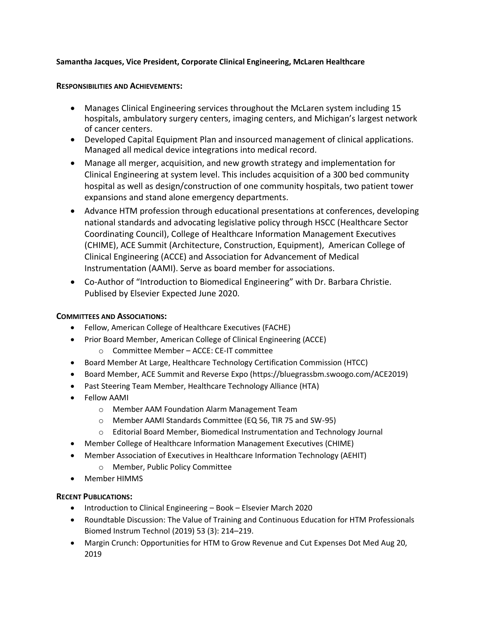## **Samantha Jacques, Vice President, Corporate Clinical Engineering, McLaren Healthcare**

## **RESPONSIBILITIES AND ACHIEVEMENTS:**

- Manages Clinical Engineering services throughout the McLaren system including 15 hospitals, ambulatory surgery centers, imaging centers, and Michigan's largest network of cancer centers.
- Developed Capital Equipment Plan and insourced management of clinical applications. Managed all medical device integrations into medical record.
- Manage all merger, acquisition, and new growth strategy and implementation for Clinical Engineering at system level. This includes acquisition of a 300 bed community hospital as well as design/construction of one community hospitals, two patient tower expansions and stand alone emergency departments.
- Advance HTM profession through educational presentations at conferences, developing national standards and advocating legislative policy through HSCC (Healthcare Sector Coordinating Council), College of Healthcare Information Management Executives (CHIME), ACE Summit (Architecture, Construction, Equipment), American College of Clinical Engineering (ACCE) and Association for Advancement of Medical Instrumentation (AAMI). Serve as board member for associations.
- Co-Author of "Introduction to Biomedical Engineering" with Dr. Barbara Christie. Publised by Elsevier Expected June 2020.

## **COMMITTEES AND ASSOCIATIONS:**

- Fellow, American College of Healthcare Executives (FACHE)
- Prior Board Member, American College of Clinical Engineering (ACCE)
	- o Committee Member ACCE: CE-IT committee
- Board Member At Large, Healthcare Technology Certification Commission (HTCC)
- Board Member, ACE Summit and Reverse Expo [\(https://bluegrassbm.swoogo.com/ACE2019\)](https://bluegrassbm.swoogo.com/ACE2019)
- Past Steering Team Member, Healthcare Technology Alliance (HTA)
- Fellow AAMI
	- o Member AAM Foundation Alarm Management Team
	- o Member AAMI Standards Committee (EQ 56, TIR 75 and SW-95)
	- o Editorial Board Member, Biomedical Instrumentation and Technology Journal
- Member College of Healthcare Information Management Executives (CHIME)
- Member Association of Executives in Healthcare Information Technology (AEHIT)
	- o Member, Public Policy Committee
- Member HIMMS

## **RECENT PUBLICATIONS:**

- Introduction to Clinical Engineering Book Elsevier March 2020
- [Roundtable Discussion: The Value of Training and Continuous Education for HTM Professionals](https://meridian.allenpress.com/bit/article-abstract/53/3/214/427884) Biomed Instrum Technol (2019) 53 (3): 214–219.
- Margin Crunch: Opportunities for HTM to Grow Revenue and Cut Expenses Dot Med Aug 20, 2019